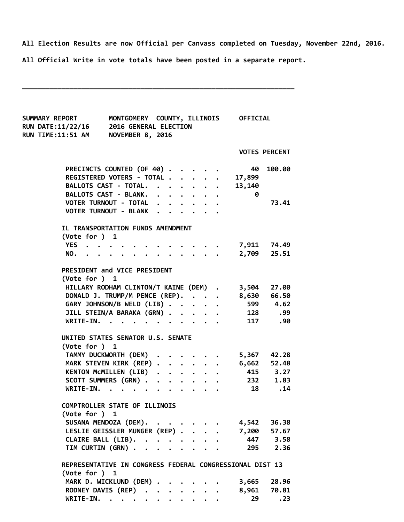All Election Results are now Official per Canvass completed on Tuesday, November 22nd, 2016.

All Official Write in vote totals have been posted in a separate report.

\_\_\_\_\_\_\_\_\_\_\_\_\_\_\_\_\_\_\_\_\_\_\_\_\_\_\_\_\_\_\_\_\_\_\_\_\_\_\_\_\_\_\_\_\_\_\_\_\_\_\_\_\_\_\_\_\_\_\_\_\_\_\_\_\_\_\_\_\_

| <b>SUMMARY REPORT</b><br><b>RUN DATE:11/22/16</b><br><b>RUN TIME:11:51 AM</b> | MONTGOMERY COUNTY, ILLINOIS OFFICIAL<br>2016 GENERAL ELECTION<br><b>NOVEMBER 8, 2016</b> |  |  |  |  |  |  |                         |                      |  |  |
|-------------------------------------------------------------------------------|------------------------------------------------------------------------------------------|--|--|--|--|--|--|-------------------------|----------------------|--|--|
|                                                                               |                                                                                          |  |  |  |  |  |  |                         | <b>VOTES PERCENT</b> |  |  |
| PRECINCTS COUNTED (OF 40)                                                     |                                                                                          |  |  |  |  |  |  | 40                      | 100.00               |  |  |
| REGISTERED VOTERS - TOTAL                                                     |                                                                                          |  |  |  |  |  |  | 17,899                  |                      |  |  |
| BALLOTS CAST - TOTAL.                                                         |                                                                                          |  |  |  |  |  |  | 13,140                  |                      |  |  |
| BALLOTS CAST - BLANK.                                                         |                                                                                          |  |  |  |  |  |  | $\overline{\mathbf{0}}$ |                      |  |  |
| VOTER TURNOUT - TOTAL                                                         |                                                                                          |  |  |  |  |  |  |                         | 73.41                |  |  |
| VOTER TURNOUT - BLANK                                                         |                                                                                          |  |  |  |  |  |  |                         |                      |  |  |
| IL TRANSPORTATION FUNDS AMENDMENT<br>(Vote for ) 1                            |                                                                                          |  |  |  |  |  |  |                         |                      |  |  |
| YES                                                                           |                                                                                          |  |  |  |  |  |  |                         |                      |  |  |
| NO.                                                                           |                                                                                          |  |  |  |  |  |  | . 2,709 25.51           |                      |  |  |
|                                                                               |                                                                                          |  |  |  |  |  |  |                         |                      |  |  |
| PRESIDENT and VICE PRESIDENT                                                  |                                                                                          |  |  |  |  |  |  |                         |                      |  |  |
| (Vote for ) 1                                                                 |                                                                                          |  |  |  |  |  |  |                         |                      |  |  |
| HILLARY RODHAM CLINTON/T KAINE (DEM) . 3,504 27.00                            |                                                                                          |  |  |  |  |  |  |                         |                      |  |  |
| DONALD J. TRUMP/M PENCE (REP). 8,630 66.50                                    |                                                                                          |  |  |  |  |  |  |                         |                      |  |  |
| GARY JOHNSON/B WELD (LIB)                                                     |                                                                                          |  |  |  |  |  |  |                         | 599 4.62             |  |  |
| JILL STEIN/A BARAKA (GRN)                                                     |                                                                                          |  |  |  |  |  |  | 128 .99                 |                      |  |  |
| WRITE-IN.                                                                     |                                                                                          |  |  |  |  |  |  |                         | 117 .90              |  |  |
|                                                                               |                                                                                          |  |  |  |  |  |  |                         |                      |  |  |
| UNITED STATES SENATOR U.S. SENATE                                             |                                                                                          |  |  |  |  |  |  |                         |                      |  |  |
| (Vote for ) 1                                                                 |                                                                                          |  |  |  |  |  |  |                         |                      |  |  |
| TAMMY DUCKWORTH (DEM)                                                         |                                                                                          |  |  |  |  |  |  |                         | 5,367 42.28          |  |  |
| MARK STEVEN KIRK (REP)                                                        |                                                                                          |  |  |  |  |  |  |                         | 6,662 52.48          |  |  |
| KENTON MCMILLEN (LIB)                                                         |                                                                                          |  |  |  |  |  |  |                         | 415 3.27             |  |  |
| SCOTT SUMMERS (GRN)                                                           |                                                                                          |  |  |  |  |  |  |                         | 232 1.83             |  |  |
| WRITE-IN.                                                                     |                                                                                          |  |  |  |  |  |  |                         | 18 .14               |  |  |
| COMPTROLLER STATE OF ILLINOIS<br>(Vote for ) 1                                |                                                                                          |  |  |  |  |  |  |                         |                      |  |  |
| SUSANA MENDOZA (DEM).                                                         |                                                                                          |  |  |  |  |  |  | 4,542                   | 36.38                |  |  |
| LESLIE GEISSLER MUNGER (REP)                                                  |                                                                                          |  |  |  |  |  |  |                         | 7,200 57.67          |  |  |
| CLAIRE BALL (LIB).                                                            |                                                                                          |  |  |  |  |  |  |                         | 447 3.58             |  |  |
| TIM CURTIN (GRN)                                                              |                                                                                          |  |  |  |  |  |  | 295                     | 2.36                 |  |  |
| REPRESENTATIVE IN CONGRESS FEDERAL CONGRESSIONAL DIST 13<br>(Vote for ) 1     |                                                                                          |  |  |  |  |  |  |                         |                      |  |  |
| MARK D. WICKLUND (DEM) .                                                      |                                                                                          |  |  |  |  |  |  | 3,665                   | 28.96                |  |  |
| RODNEY DAVIS (REP)                                                            |                                                                                          |  |  |  |  |  |  | 8,961                   | 70.81                |  |  |
| WRITE-IN.                                                                     |                                                                                          |  |  |  |  |  |  | 29                      | .23                  |  |  |
|                                                                               |                                                                                          |  |  |  |  |  |  |                         |                      |  |  |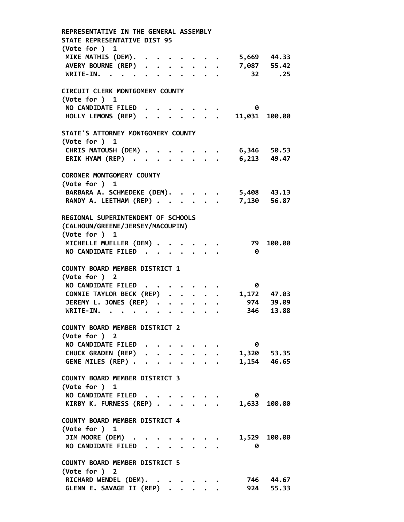REPRESENTATIVE IN THE GENERAL ASSEMBLY STATE REPRESENTATIVE DIST 95 (Vote for ) 1 MIKE MATHIS (DEM). . . . . . . . 5,669 44.33<br>AVERY BOURNE (REP) . . . . . . . 7,087 55.42 AVERY BOURNE (REP) . . . . . . . WRITE-IN. . . . . . . . . . . 32 .25 CIRCUIT CLERK MONTGOMERY COUNTY (Vote for ) 1 NO CANDIDATE FILED . . . . . . . 0 HOLLY LEMONS (REP) . . . . . . . 11,031 100.00 STATE'S ATTORNEY MONTGOMERY COUNTY (Vote for ) 1 CHRIS MATOUSH (DEM) . . . . . . . 6,346 50.53 ERIK HYAM (REP) . . . . . . . . 6,213 49.47 CORONER MONTGOMERY COUNTY (Vote for ) 1 BARBARA A. SCHMEDEKE (DEM). . . . . 5,408 43.13 RANDY A. LEETHAM (REP) . . . . . . 7,130 56.87 REGIONAL SUPERINTENDENT OF SCHOOLS (CALHOUN/GREENE/JERSEY/MACOUPIN) (Vote for ) 1 MICHELLE MUELLER (DEM) . . . . . . 79 100.00 NO CANDIDATE FILED . . . . . . . 0 COUNTY BOARD MEMBER DISTRICT 1 (Vote for ) 2 NO CANDIDATE FILED . . . . . . . 0 CONNIE TAYLOR BECK (REP) . . . . . 1,172 47.03 JEREMY L. JONES (REP) . . . . . . 974 39.09 WRITE‐IN. . . . . . . . . . . 346 13.88 COUNTY BOARD MEMBER DISTRICT 2 (Vote for ) 2 NO CANDIDATE FILED . . . . . . . 0 CHUCK GRADEN (REP) . . . . . . . 1,320 53.35 GENE MILES (REP) . . . . . . . . 1,154 46.65 COUNTY BOARD MEMBER DISTRICT 3 (Vote for ) 1 NO CANDIDATE FILED . . . . . . . 0 KIRBY K. FURNESS (REP) . . . . . . 1,633 100.00 COUNTY BOARD MEMBER DISTRICT 4 (Vote for ) 1 JIM MOORE (DEM) . . . . . . . . 1,529 100.00 NO CANDIDATE FILED . . . . . . . 0 COUNTY BOARD MEMBER DISTRICT 5 (Vote for ) 2 RICHARD WENDEL (DEM). . . . . . . 746 44.67<br>GLENN E. SAVAGE II (REP) . . . . . 924 55.33 GLENN E. SAVAGE II (REP) . . . . .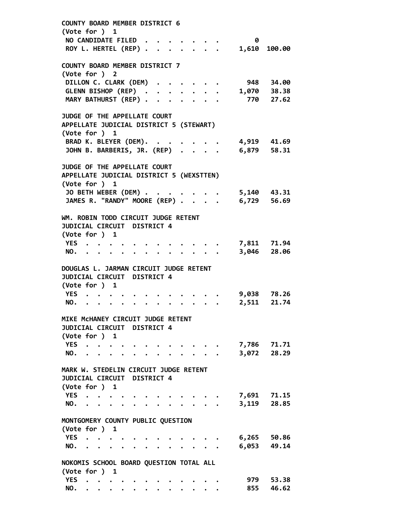COUNTY BOARD MEMBER DISTRICT 6 (Vote for ) 1 NO CANDIDATE FILED . . . . . . . 0 ROY L. HERTEL (REP) . . . . . . . 1,610 100.00 COUNTY BOARD MEMBER DISTRICT 7 (Vote for ) 2 DILLON C. CLARK (DEM) . . . . . . 948 34.00<br>GLENN BISHOP (REP) . . . . . . . 1,070 38.38 GLENN BISHOP (REP) . . . . . . . MARY BATHURST (REP) . . . . . . . 770 27.62 JUDGE OF THE APPELLATE COURT APPELLATE JUDICIAL DISTRICT 5 (STEWART) (Vote for ) 1 BRAD K. BLEYER (DEM). . . . . . . 4,919 41.69 JOHN B. BARBERIS, JR. (REP) . . . . 6,879 58.31 JUDGE OF THE APPELLATE COURT APPELLATE JUDICIAL DISTRICT 5 (WEXSTTEN) (Vote for ) 1 JO BETH WEBER (DEM) . . . . . . . 5,140 43.31 JAMES R. "RANDY" MOORE (REP) . . . . 6,729 56.69 WM. ROBIN TODD CIRCUIT JUDGE RETENT JUDICIAL CIRCUIT DISTRICT 4 (Vote for ) 1 YES . . . . . . . . . . . . . 7,811 71.94 NO. . . . . . . . . . . . . 3,046 28.06 DOUGLAS L. JARMAN CIRCUIT JUDGE RETENT JUDICIAL CIRCUIT DISTRICT 4 (Vote for ) 1 YES . . . . . . . . . . . . 9,038 78.26 NO. . . . . . . . . . . . . 2,511 21.74 MIKE McHANEY CIRCUIT JUDGE RETENT JUDICIAL CIRCUIT DISTRICT 4 (Vote for ) 1 YES . . . . . . . . . . . . 7,786 71.71 NO. . . . . . . . . . . . . 3,072 28.29 MARK W. STEDELIN CIRCUIT JUDGE RETENT JUDICIAL CIRCUIT DISTRICT 4 (Vote for ) 1 YES . . . . . . . . . . . . . 7,691 71.15<br>NO. . . . . . . . . . . . . 3,119 28.85 NO. . . . . . . . . . . . . MONTGOMERY COUNTY PUBLIC QUESTION (Vote for ) 1 YES . . . . . . . . . . . . . 6,265 50.86 NO. . . . . . . . . . . . . 6,053 49.14 NOKOMIS SCHOOL BOARD QUESTION TOTAL ALL (Vote for ) 1 YES . . . . . . . . . . . . 979 53.38 NO. . . . . . . . . . . . . 855 46.62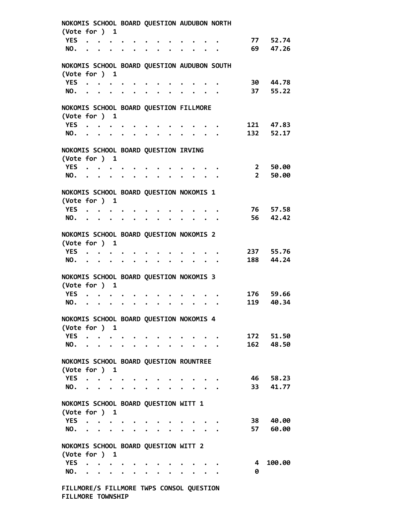| NOKOMIS SCHOOL BOARD QUESTION AUDUBON NORTH                  |                                                                                                                                                                                                                               |  |  |  |                                                   |                       |  |                                                                 |  |  |                                                                                      |             |           |
|--------------------------------------------------------------|-------------------------------------------------------------------------------------------------------------------------------------------------------------------------------------------------------------------------------|--|--|--|---------------------------------------------------|-----------------------|--|-----------------------------------------------------------------|--|--|--------------------------------------------------------------------------------------|-------------|-----------|
| (Vote for ) 1                                                |                                                                                                                                                                                                                               |  |  |  |                                                   |                       |  |                                                                 |  |  |                                                                                      |             |           |
| <b>YES</b>                                                   |                                                                                                                                                                                                                               |  |  |  |                                                   |                       |  |                                                                 |  |  |                                                                                      |             | 77 52.74  |
|                                                              | NO.                                                                                                                                                                                                                           |  |  |  |                                                   |                       |  |                                                                 |  |  |                                                                                      | 69          | 47.26     |
|                                                              |                                                                                                                                                                                                                               |  |  |  |                                                   |                       |  |                                                                 |  |  |                                                                                      |             |           |
| NOKOMIS SCHOOL BOARD QUESTION AUDUBON SOUTH<br>(Vote for ) 1 |                                                                                                                                                                                                                               |  |  |  |                                                   |                       |  |                                                                 |  |  |                                                                                      |             |           |
|                                                              | YES                                                                                                                                                                                                                           |  |  |  |                                                   |                       |  |                                                                 |  |  |                                                                                      |             | 30 44.78  |
|                                                              | NO.                                                                                                                                                                                                                           |  |  |  |                                                   | $\bullet$ . $\bullet$ |  |                                                                 |  |  |                                                                                      | 37          | 55.22     |
|                                                              |                                                                                                                                                                                                                               |  |  |  |                                                   |                       |  |                                                                 |  |  |                                                                                      |             |           |
| NOKOMIS SCHOOL BOARD QUESTION FILLMORE                       |                                                                                                                                                                                                                               |  |  |  |                                                   |                       |  |                                                                 |  |  |                                                                                      |             |           |
| (Vote for ) 1                                                |                                                                                                                                                                                                                               |  |  |  |                                                   |                       |  |                                                                 |  |  |                                                                                      |             |           |
|                                                              | YES                                                                                                                                                                                                                           |  |  |  |                                                   |                       |  | $\cdot$ $\cdot$ $\cdot$ $\cdot$ $\cdot$ $\cdot$ $\cdot$ $\cdot$ |  |  |                                                                                      |             | 121 47.83 |
|                                                              | NO.                                                                                                                                                                                                                           |  |  |  | $\bullet$ $\bullet$ $\bullet$ $\bullet$ $\bullet$ |                       |  |                                                                 |  |  | $\cdots$                                                                             | 132         | 52.17     |
|                                                              |                                                                                                                                                                                                                               |  |  |  |                                                   |                       |  |                                                                 |  |  |                                                                                      |             |           |
| NOKOMIS SCHOOL BOARD QUESTION IRVING                         |                                                                                                                                                                                                                               |  |  |  |                                                   |                       |  |                                                                 |  |  |                                                                                      |             |           |
| (Vote for ) 1                                                |                                                                                                                                                                                                                               |  |  |  |                                                   |                       |  |                                                                 |  |  |                                                                                      |             |           |
|                                                              | YES                                                                                                                                                                                                                           |  |  |  |                                                   |                       |  |                                                                 |  |  |                                                                                      | $2^{\circ}$ | 50.00     |
|                                                              | NO.                                                                                                                                                                                                                           |  |  |  |                                                   |                       |  |                                                                 |  |  |                                                                                      | $2^{\circ}$ | 50.00     |
|                                                              |                                                                                                                                                                                                                               |  |  |  |                                                   |                       |  |                                                                 |  |  |                                                                                      |             |           |
| NOKOMIS SCHOOL BOARD QUESTION NOKOMIS 1                      |                                                                                                                                                                                                                               |  |  |  |                                                   |                       |  |                                                                 |  |  |                                                                                      |             |           |
| (Vote for ) 1                                                |                                                                                                                                                                                                                               |  |  |  |                                                   |                       |  |                                                                 |  |  |                                                                                      |             |           |
| <b>YES</b>                                                   | $\bullet$ $\bullet$ $\bullet$ $\bullet$ $\bullet$                                                                                                                                                                             |  |  |  | $\bullet$ . $\bullet$                             | $\bullet$ . $\bullet$ |  |                                                                 |  |  |                                                                                      | 76          | 57.58     |
|                                                              | NO.                                                                                                                                                                                                                           |  |  |  |                                                   |                       |  |                                                                 |  |  |                                                                                      | 56          | 42.42     |
|                                                              |                                                                                                                                                                                                                               |  |  |  |                                                   |                       |  |                                                                 |  |  |                                                                                      |             |           |
| NOKOMIS SCHOOL BOARD QUESTION NOKOMIS 2                      |                                                                                                                                                                                                                               |  |  |  |                                                   |                       |  |                                                                 |  |  |                                                                                      |             |           |
| (Vote for ) 1                                                |                                                                                                                                                                                                                               |  |  |  |                                                   |                       |  |                                                                 |  |  |                                                                                      |             |           |
| <b>YES</b>                                                   | . The contract of the contract of the contract of the contract of the contract of the contract of the contract of the contract of the contract of the contract of the contract of the contract of the contract of the contrac |  |  |  |                                                   |                       |  |                                                                 |  |  |                                                                                      |             | 237 55.76 |
|                                                              | NO.                                                                                                                                                                                                                           |  |  |  |                                                   |                       |  |                                                                 |  |  |                                                                                      | 188         | 44.24     |
|                                                              |                                                                                                                                                                                                                               |  |  |  |                                                   |                       |  |                                                                 |  |  |                                                                                      |             |           |
| NOKOMIS SCHOOL BOARD QUESTION NOKOMIS 3                      |                                                                                                                                                                                                                               |  |  |  |                                                   |                       |  |                                                                 |  |  |                                                                                      |             |           |
| (Vote for ) 1                                                |                                                                                                                                                                                                                               |  |  |  |                                                   |                       |  |                                                                 |  |  |                                                                                      |             |           |
| <b>YES</b>                                                   |                                                                                                                                                                                                                               |  |  |  |                                                   |                       |  |                                                                 |  |  |                                                                                      | 176         | 59.66     |
| NO.                                                          |                                                                                                                                                                                                                               |  |  |  |                                                   |                       |  | .                                                               |  |  |                                                                                      | 119         | 40.34     |
|                                                              |                                                                                                                                                                                                                               |  |  |  |                                                   |                       |  |                                                                 |  |  |                                                                                      |             |           |
| NOKOMIS SCHOOL BOARD QUESTION NOKOMIS 4                      |                                                                                                                                                                                                                               |  |  |  |                                                   |                       |  |                                                                 |  |  |                                                                                      |             |           |
| (Vote for ) 1                                                |                                                                                                                                                                                                                               |  |  |  |                                                   |                       |  |                                                                 |  |  |                                                                                      |             |           |
| YES                                                          |                                                                                                                                                                                                                               |  |  |  |                                                   |                       |  |                                                                 |  |  | $\bullet$ and $\bullet$ and $\bullet$ and $\bullet$                                  |             | 172 51.50 |
|                                                              |                                                                                                                                                                                                                               |  |  |  |                                                   |                       |  |                                                                 |  |  | NO.                                                                                  |             | 162 48.50 |
|                                                              |                                                                                                                                                                                                                               |  |  |  |                                                   |                       |  |                                                                 |  |  |                                                                                      |             |           |
| NOKOMIS SCHOOL BOARD QUESTION ROUNTREE                       |                                                                                                                                                                                                                               |  |  |  |                                                   |                       |  |                                                                 |  |  |                                                                                      |             |           |
| (Vote for ) 1                                                |                                                                                                                                                                                                                               |  |  |  |                                                   |                       |  |                                                                 |  |  |                                                                                      |             |           |
| YES<br>NO.                                                   |                                                                                                                                                                                                                               |  |  |  |                                                   |                       |  |                                                                 |  |  | $\bullet$ $\bullet$ $\bullet$ $\bullet$                                              |             | 46 58.23  |
|                                                              |                                                                                                                                                                                                                               |  |  |  |                                                   |                       |  |                                                                 |  |  |                                                                                      |             | 33 41.77  |
|                                                              |                                                                                                                                                                                                                               |  |  |  |                                                   |                       |  |                                                                 |  |  |                                                                                      |             |           |
| NOKOMIS SCHOOL BOARD QUESTION WITT 1                         |                                                                                                                                                                                                                               |  |  |  |                                                   |                       |  |                                                                 |  |  |                                                                                      |             |           |
| (Vote for ) 1                                                |                                                                                                                                                                                                                               |  |  |  |                                                   |                       |  |                                                                 |  |  | YES 38 40.00                                                                         |             |           |
|                                                              | NO.                                                                                                                                                                                                                           |  |  |  |                                                   |                       |  |                                                                 |  |  |                                                                                      |             | 57 60.00  |
|                                                              |                                                                                                                                                                                                                               |  |  |  |                                                   |                       |  |                                                                 |  |  |                                                                                      |             |           |
| NOKOMIS SCHOOL BOARD QUESTION WITT 2                         |                                                                                                                                                                                                                               |  |  |  |                                                   |                       |  |                                                                 |  |  |                                                                                      |             |           |
| (Vote for ) 1                                                |                                                                                                                                                                                                                               |  |  |  |                                                   |                       |  |                                                                 |  |  |                                                                                      |             |           |
| YES                                                          |                                                                                                                                                                                                                               |  |  |  |                                                   |                       |  |                                                                 |  |  | $\bullet \qquad \bullet \qquad \bullet \qquad \bullet \qquad \bullet \qquad \bullet$ | 4           | 100.00    |
|                                                              | NO.                                                                                                                                                                                                                           |  |  |  |                                                   |                       |  |                                                                 |  |  |                                                                                      | 0           |           |
|                                                              |                                                                                                                                                                                                                               |  |  |  |                                                   |                       |  |                                                                 |  |  |                                                                                      |             |           |
| FILLMORE/S FILLMORE TWPS CONSOL QUESTION                     |                                                                                                                                                                                                                               |  |  |  |                                                   |                       |  |                                                                 |  |  |                                                                                      |             |           |
| FILLMORE TOWNSHIP                                            |                                                                                                                                                                                                                               |  |  |  |                                                   |                       |  |                                                                 |  |  |                                                                                      |             |           |